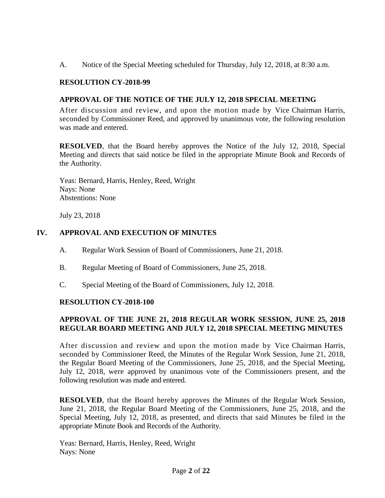A. Notice of the Special Meeting scheduled for Thursday, July 12, 2018, at 8:30 a.m.

#### **RESOLUTION CY-2018-99**

#### **APPROVAL OF THE NOTICE OF THE JULY 12, 2018 SPECIAL MEETING**

After discussion and review, and upon the motion made by Vice Chairman Harris, seconded by Commissioner Reed, and approved by unanimous vote, the following resolution was made and entered.

**RESOLVED**, that the Board hereby approves the Notice of the July 12, 2018, Special Meeting and directs that said notice be filed in the appropriate Minute Book and Records of the Authority.

Yeas: Bernard, Harris, Henley, Reed, Wright Nays: None Abstentions: None

July 23, 2018

#### **IV. APPROVAL AND EXECUTION OF MINUTES**

- A. Regular Work Session of Board of Commissioners, June 21, 2018.
- B. Regular Meeting of Board of Commissioners, June 25, 2018.
- C. Special Meeting of the Board of Commissioners, July 12, 2018.

#### **RESOLUTION CY-2018-100**

# **APPROVAL OF THE JUNE 21, 2018 REGULAR WORK SESSION, JUNE 25, 2018 REGULAR BOARD MEETING AND JULY 12, 2018 SPECIAL MEETING MINUTES**

After discussion and review and upon the motion made by Vice Chairman Harris, seconded by Commissioner Reed, the Minutes of the Regular Work Session, June 21, 2018, the Regular Board Meeting of the Commissioners, June 25, 2018, and the Special Meeting, July 12, 2018, were approved by unanimous vote of the Commissioners present, and the following resolution was made and entered.

**RESOLVED**, that the Board hereby approves the Minutes of the Regular Work Session, June 21, 2018, the Regular Board Meeting of the Commissioners, June 25, 2018, and the Special Meeting, July 12, 2018, as presented, and directs that said Minutes be filed in the appropriate Minute Book and Records of the Authority.

Yeas: Bernard, Harris, Henley, Reed, Wright Nays: None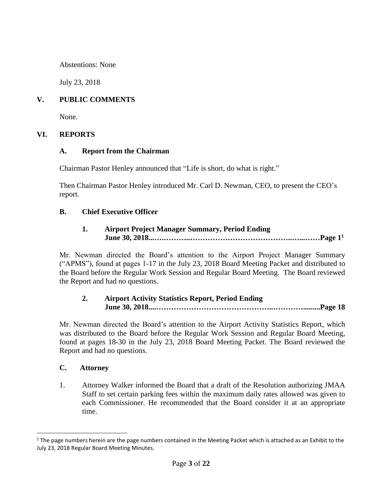#### Unexecuted Minutes of the Jackson Municipal Airport Authority

Abstentions: None

July 23, 2018

## **V. PUBLIC COMMENTS**

None.

#### **VI. REPORTS**

#### **A. Report from the Chairman**

Chairman Pastor Henley announced that "Life is short, do what is right."

Then Chairman Pastor Henley introduced Mr. Carl D. Newman, CEO, to present the CEO's report.

#### **B. Chief Executive Officer**

## **1. Airport Project Manager Summary, Period Ending June 30, 2018...….………..…………………………………..…...……Page 1 1**

Mr. Newman directed the Board's attention to the Airport Project Manager Summary ("APMS"), found at pages 1-17 in the July 23, 2018 Board Meeting Packet and distributed to the Board before the Regular Work Session and Regular Board Meeting. The Board reviewed the Report and had no questions.

# **2. Airport Activity Statistics Report, Period Ending June 30, 2018....………………………………………..………….........Page 18**

Mr. Newman directed the Board's attention to the Airport Activity Statistics Report, which was distributed to the Board before the Regular Work Session and Regular Board Meeting, found at pages 18-30 in the July 23, 2018 Board Meeting Packet. The Board reviewed the Report and had no questions.

#### **C. Attorney**

 $\overline{a}$ 

1. Attorney Walker informed the Board that a draft of the Resolution authorizing JMAA Staff to set certain parking fees within the maximum daily rates allowed was given to each Commissioner. He recommended that the Board consider it at an appropriate time.

<sup>&</sup>lt;sup>1</sup> The page numbers herein are the page numbers contained in the Meeting Packet which is attached as an Exhibit to the July 23, 2018 Regular Board Meeting Minutes.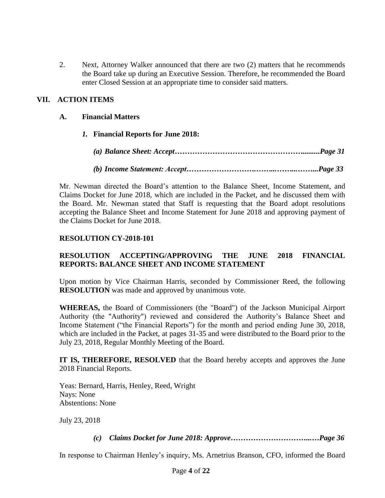2. Next, Attorney Walker announced that there are two (2) matters that he recommends the Board take up during an Executive Session. Therefore, he recommended the Board enter Closed Session at an appropriate time to consider said matters.

# **VII. ACTION ITEMS**

## **A. Financial Matters**

*1.* **Financial Reports for June 2018:**

*(a) Balance Sheet: Accept…………………………………………….........Page 31*

*(b) Income Statement: Accept……………………….……...……...……...Page 33*

Mr. Newman directed the Board's attention to the Balance Sheet, Income Statement, and Claims Docket for June 2018, which are included in the Packet, and he discussed them with the Board. Mr. Newman stated that Staff is requesting that the Board adopt resolutions accepting the Balance Sheet and Income Statement for June 2018 and approving payment of the Claims Docket for June 2018.

#### **RESOLUTION CY-2018-101**

# **RESOLUTION ACCEPTING/APPROVING THE JUNE 2018 FINANCIAL REPORTS: BALANCE SHEET AND INCOME STATEMENT**

Upon motion by Vice Chairman Harris, seconded by Commissioner Reed, the following **RESOLUTION** was made and approved by unanimous vote.

**WHEREAS,** the Board of Commissioners (the "Board") of the Jackson Municipal Airport Authority (the "Authority") reviewed and considered the Authority's Balance Sheet and Income Statement ("the Financial Reports") for the month and period ending June 30, 2018, which are included in the Packet, at pages 31-35 and were distributed to the Board prior to the July 23, 2018, Regular Monthly Meeting of the Board.

**IT IS, THEREFORE, RESOLVED** that the Board hereby accepts and approves the June 2018 Financial Reports.

Yeas: Bernard, Harris, Henley, Reed, Wright Nays: None Abstentions: None

July 23, 2018

*(c) Claims Docket for June 2018: Approve…………………………...…Page 36*

In response to Chairman Henley's inquiry, Ms. Arnetrius Branson, CFO, informed the Board

Page **4** of **22** Exhibits Provided Via Public Records Request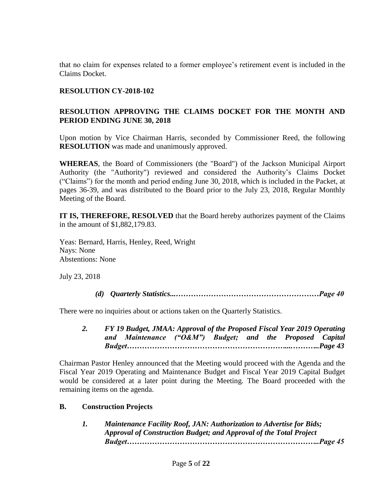that no claim for expenses related to a former employee's retirement event is included in the Claims Docket.

#### **RESOLUTION CY-2018-102**

# **RESOLUTION APPROVING THE CLAIMS DOCKET FOR THE MONTH AND PERIOD ENDING JUNE 30, 2018**

Upon motion by Vice Chairman Harris, seconded by Commissioner Reed, the following **RESOLUTION** was made and unanimously approved.

**WHEREAS**, the Board of Commissioners (the "Board") of the Jackson Municipal Airport Authority (the "Authority") reviewed and considered the Authority's Claims Docket ("Claims") for the month and period ending June 30, 2018, which is included in the Packet, at pages 36-39, and was distributed to the Board prior to the July 23, 2018, Regular Monthly Meeting of the Board.

**IT IS, THEREFORE, RESOLVED** that the Board hereby authorizes payment of the Claims in the amount of \$1,882,179.83.

Yeas: Bernard, Harris, Henley, Reed, Wright Nays: None Abstentions: None

July 23, 2018

*(d) Quarterly Statistics...…………………………………………………Page 40*

There were no inquiries about or actions taken on the Quarterly Statistics.

*2. FY 19 Budget, JMAA: Approval of the Proposed Fiscal Year 2019 Operating and Maintenance ("O&M") Budget; and the Proposed Capital Budget………………………………………………………....………..Page 43*

Chairman Pastor Henley announced that the Meeting would proceed with the Agenda and the Fiscal Year 2019 Operating and Maintenance Budget and Fiscal Year 2019 Capital Budget would be considered at a later point during the Meeting. The Board proceeded with the remaining items on the agenda.

#### **B. Construction Projects**

*1. Maintenance Facility Roof, JAN: Authorization to Advertise for Bids; Approval of Construction Budget; and Approval of the Total Project Budget…………………………………………………………………..Page 45*

Page **5** of **22**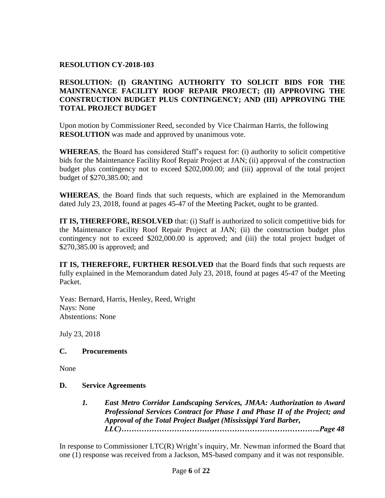#### **RESOLUTION CY-2018-103**

# **RESOLUTION: (I) GRANTING AUTHORITY TO SOLICIT BIDS FOR THE MAINTENANCE FACILITY ROOF REPAIR PROJECT; (II) APPROVING THE CONSTRUCTION BUDGET PLUS CONTINGENCY; AND (III) APPROVING THE TOTAL PROJECT BUDGET**

Upon motion by Commissioner Reed, seconded by Vice Chairman Harris, the following **RESOLUTION** was made and approved by unanimous vote.

**WHEREAS**, the Board has considered Staff's request for: (i) authority to solicit competitive bids for the Maintenance Facility Roof Repair Project at JAN; (ii) approval of the construction budget plus contingency not to exceed \$202,000.00; and (iii) approval of the total project budget of \$270,385.00; and

**WHEREAS**, the Board finds that such requests, which are explained in the Memorandum dated July 23, 2018, found at pages 45-47 of the Meeting Packet, ought to be granted.

**IT IS, THEREFORE, RESOLVED** that: (i) Staff is authorized to solicit competitive bids for the Maintenance Facility Roof Repair Project at JAN; (ii) the construction budget plus contingency not to exceed \$202,000.00 is approved; and (iii) the total project budget of \$270,385.00 is approved; and

**IT IS, THEREFORE, FURTHER RESOLVED** that the Board finds that such requests are fully explained in the Memorandum dated July 23, 2018, found at pages 45-47 of the Meeting Packet.

Yeas: Bernard, Harris, Henley, Reed, Wright Nays: None Abstentions: None

July 23, 2018

# **C. Procurements**

None

#### **D. Service Agreements**

*1. East Metro Corridor Landscaping Services, JMAA: Authorization to Award Professional Services Contract for Phase I and Phase II of the Project; and Approval of the Total Project Budget (Mississippi Yard Barber, LLC)…………………………………………………………………….Page 48*

In response to Commissioner LTC(R) Wright's inquiry, Mr. Newman informed the Board that one (1) response was received from a Jackson, MS-based company and it was not responsible.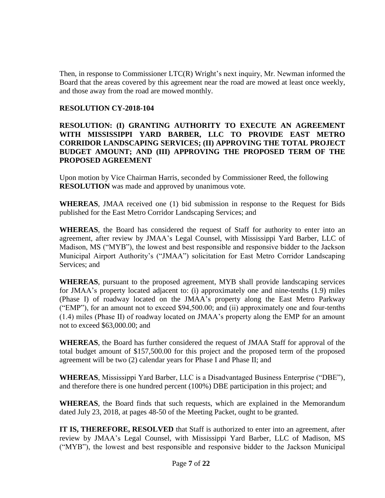Then, in response to Commissioner LTC(R) Wright's next inquiry, Mr. Newman informed the Board that the areas covered by this agreement near the road are mowed at least once weekly, and those away from the road are mowed monthly.

#### **RESOLUTION CY-2018-104**

## **RESOLUTION: (I) GRANTING AUTHORITY TO EXECUTE AN AGREEMENT WITH MISSISSIPPI YARD BARBER, LLC TO PROVIDE EAST METRO CORRIDOR LANDSCAPING SERVICES; (II) APPROVING THE TOTAL PROJECT BUDGET AMOUNT; AND (III) APPROVING THE PROPOSED TERM OF THE PROPOSED AGREEMENT**

Upon motion by Vice Chairman Harris, seconded by Commissioner Reed, the following **RESOLUTION** was made and approved by unanimous vote.

**WHEREAS**, JMAA received one (1) bid submission in response to the Request for Bids published for the East Metro Corridor Landscaping Services; and

**WHEREAS**, the Board has considered the request of Staff for authority to enter into an agreement, after review by JMAA's Legal Counsel, with Mississippi Yard Barber, LLC of Madison, MS ("MYB"), the lowest and best responsible and responsive bidder to the Jackson Municipal Airport Authority's ("JMAA") solicitation for East Metro Corridor Landscaping Services; and

**WHEREAS**, pursuant to the proposed agreement, MYB shall provide landscaping services for JMAA's property located adjacent to: (i) approximately one and nine-tenths (1.9) miles (Phase I) of roadway located on the JMAA's property along the East Metro Parkway ("EMP"), for an amount not to exceed \$94,500.00; and (ii) approximately one and four-tenths (1.4) miles (Phase II) of roadway located on JMAA's property along the EMP for an amount not to exceed \$63,000.00; and

**WHEREAS**, the Board has further considered the request of JMAA Staff for approval of the total budget amount of \$157,500.00 for this project and the proposed term of the proposed agreement will be two (2) calendar years for Phase I and Phase II; and

**WHEREAS**, Mississippi Yard Barber, LLC is a Disadvantaged Business Enterprise ("DBE"), and therefore there is one hundred percent (100%) DBE participation in this project; and

**WHEREAS**, the Board finds that such requests, which are explained in the Memorandum dated July 23, 2018, at pages 48-50 of the Meeting Packet, ought to be granted.

**IT IS, THEREFORE, RESOLVED** that Staff is authorized to enter into an agreement, after review by JMAA's Legal Counsel, with Mississippi Yard Barber, LLC of Madison, MS ("MYB"), the lowest and best responsible and responsive bidder to the Jackson Municipal

Page **7** of **22**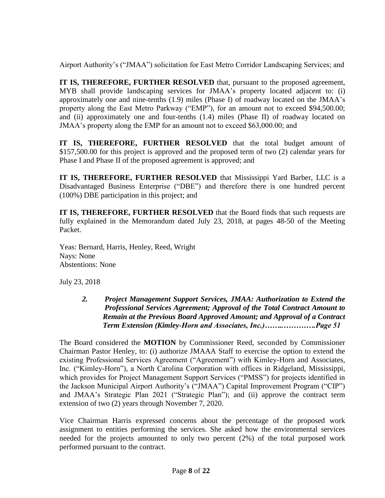Airport Authority's ("JMAA") solicitation for East Metro Corridor Landscaping Services; and

**IT IS, THEREFORE, FURTHER RESOLVED** that, pursuant to the proposed agreement, MYB shall provide landscaping services for JMAA's property located adjacent to: (i) approximately one and nine-tenths (1.9) miles (Phase I) of roadway located on the JMAA's property along the East Metro Parkway ("EMP"), for an amount not to exceed \$94,500.00; and (ii) approximately one and four-tenths (1.4) miles (Phase II) of roadway located on JMAA's property along the EMP for an amount not to exceed \$63,000.00; and

**IT IS, THEREFORE, FURTHER RESOLVED** that the total budget amount of \$157,500.00 for this project is approved and the proposed term of two (2) calendar years for Phase I and Phase II of the proposed agreement is approved; and

**IT IS, THEREFORE, FURTHER RESOLVED** that Mississippi Yard Barber, LLC is a Disadvantaged Business Enterprise ("DBE") and therefore there is one hundred percent (100%) DBE participation in this project; and

**IT IS, THEREFORE, FURTHER RESOLVED** that the Board finds that such requests are fully explained in the Memorandum dated July 23, 2018, at pages 48-50 of the Meeting Packet.

Yeas: Bernard, Harris, Henley, Reed, Wright Nays: None Abstentions: None

July 23, 2018

*2. Project Management Support Services, JMAA: Authorization to Extend the Professional Services Agreement; Approval of the Total Contract Amount to Remain at the Previous Board Approved Amount; and Approval of a Contract Term Extension (Kimley-Horn and Associates, Inc.)……..………….Page 51*

The Board considered the **MOTION** by Commissioner Reed, seconded by Commissioner Chairman Pastor Henley, to: (i) authorize JMAAA Staff to exercise the option to extend the existing Professional Services Agreement ("Agreement") with Kimley-Horn and Associates, Inc. ("Kimley-Horn"), a North Carolina Corporation with offices in Ridgeland, Mississippi, which provides for Project Management Support Services ("PMSS") for projects identified in the Jackson Municipal Airport Authority's ("JMAA") Capital Improvement Program ("CIP") and JMAA's Strategic Plan 2021 ("Strategic Plan"); and (ii) approve the contract term extension of two (2) years through November 7, 2020.

Vice Chairman Harris expressed concerns about the percentage of the proposed work assignment to entities performing the services. She asked how the environmental services needed for the projects amounted to only two percent (2%) of the total purposed work performed pursuant to the contract.

> Page **8** of **22** Exhibits Provided Via Public Records Request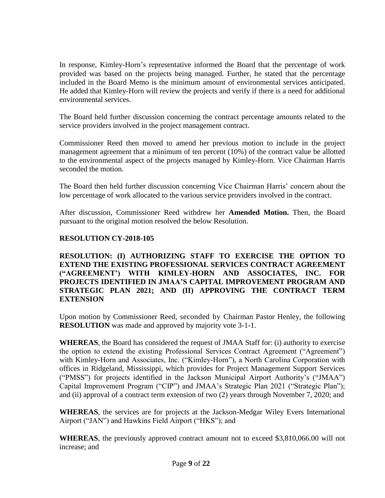In response, Kimley-Horn's representative informed the Board that the percentage of work provided was based on the projects being managed. Further, he stated that the percentage included in the Board Memo is the minimum amount of environmental services anticipated. He added that Kimley-Horn will review the projects and verify if there is a need for additional environmental services.

The Board held further discussion concerning the contract percentage amounts related to the service providers involved in the project management contract.

Commissioner Reed then moved to amend her previous motion to include in the project management agreement that a minimum of ten percent (10%) of the contract value be allotted to the environmental aspect of the projects managed by Kimley-Horn. Vice Chairman Harris seconded the motion.

The Board then held further discussion concerning Vice Chairman Harris' concern about the low percentage of work allocated to the various service providers involved in the contract.

After discussion, Commissioner Reed withdrew her **Amended Motion.** Then, the Board pursuant to the original motion resolved the below Resolution.

# **RESOLUTION CY-2018-105**

**RESOLUTION: (I) AUTHORIZING STAFF TO EXERCISE THE OPTION TO EXTEND THE EXISTING PROFESSIONAL SERVICES CONTRACT AGREEMENT ("AGREEMENT') WITH KIMLEY-HORN AND ASSOCIATES, INC. FOR PROJECTS IDENTIFIED IN JMAA'S CAPITAL IMPROVEMENT PROGRAM AND STRATEGIC PLAN 2021; AND (II) APPROVING THE CONTRACT TERM EXTENSION** 

Upon motion by Commissioner Reed, seconded by Chairman Pastor Henley, the following **RESOLUTION** was made and approved by majority vote 3-1-1.

**WHEREAS**, the Board has considered the request of JMAA Staff for: (i) authority to exercise the option to extend the existing Professional Services Contract Agreement ("Agreement") with Kimley-Horn and Associates, Inc. ("Kimley-Horn"), a North Carolina Corporation with offices in Ridgeland, Mississippi, which provides for Project Management Support Services ("PMSS") for projects identified in the Jackson Municipal Airport Authority's ("JMAA") Capital Improvement Program ("CIP") and JMAA's Strategic Plan 2021 ("Strategic Plan"); and (ii) approval of a contract term extension of two (2) years through November 7, 2020; and

**WHEREAS**, the services are for projects at the Jackson-Medgar Wiley Evers International Airport ("JAN") and Hawkins Field Airport ("HKS"); and

**WHEREAS**, the previously approved contract amount not to exceed \$3,810,066.00 will not increase; and

Page **9** of **22**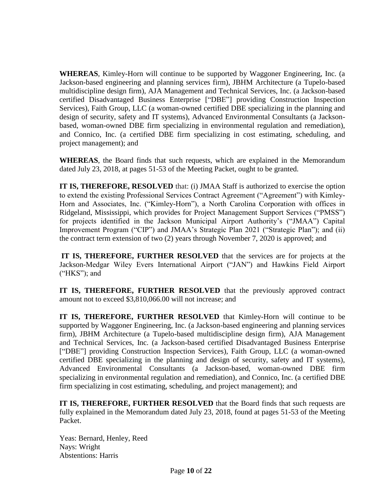**WHEREAS**, Kimley-Horn will continue to be supported by Waggoner Engineering, Inc. (a Jackson-based engineering and planning services firm), JBHM Architecture (a Tupelo-based multidiscipline design firm), AJA Management and Technical Services, Inc. (a Jackson-based certified Disadvantaged Business Enterprise ["DBE"] providing Construction Inspection Services), Faith Group, LLC (a woman-owned certified DBE specializing in the planning and design of security, safety and IT systems), Advanced Environmental Consultants (a Jacksonbased, woman-owned DBE firm specializing in environmental regulation and remediation), and Connico, Inc. (a certified DBE firm specializing in cost estimating, scheduling, and project management); and

**WHEREAS**, the Board finds that such requests, which are explained in the Memorandum dated July 23, 2018, at pages 51-53 of the Meeting Packet, ought to be granted.

**IT IS, THEREFORE, RESOLVED** that: (i) JMAA Staff is authorized to exercise the option to extend the existing Professional Services Contract Agreement ("Agreement") with Kimley-Horn and Associates, Inc. ("Kimley-Horn"), a North Carolina Corporation with offices in Ridgeland, Mississippi, which provides for Project Management Support Services ("PMSS") for projects identified in the Jackson Municipal Airport Authority's ("JMAA") Capital Improvement Program ("CIP") and JMAA's Strategic Plan 2021 ("Strategic Plan"); and (ii) the contract term extension of two (2) years through November 7, 2020 is approved; and

**IT IS, THEREFORE, FURTHER RESOLVED** that the services are for projects at the Jackson-Medgar Wiley Evers International Airport ("JAN") and Hawkins Field Airport ("HKS"); and

**IT IS, THEREFORE, FURTHER RESOLVED** that the previously approved contract amount not to exceed \$3,810,066.00 will not increase; and

**IT IS, THEREFORE, FURTHER RESOLVED** that Kimley-Horn will continue to be supported by Waggoner Engineering, Inc. (a Jackson-based engineering and planning services firm), JBHM Architecture (a Tupelo-based multidiscipline design firm), AJA Management and Technical Services, Inc. (a Jackson-based certified Disadvantaged Business Enterprise ["DBE"] providing Construction Inspection Services), Faith Group, LLC (a woman-owned certified DBE specializing in the planning and design of security, safety and IT systems), Advanced Environmental Consultants (a Jackson-based, woman-owned DBE firm specializing in environmental regulation and remediation), and Connico, Inc. (a certified DBE firm specializing in cost estimating, scheduling, and project management); and

**IT IS, THEREFORE, FURTHER RESOLVED** that the Board finds that such requests are fully explained in the Memorandum dated July 23, 2018, found at pages 51-53 of the Meeting Packet.

Yeas: Bernard, Henley, Reed Nays: Wright Abstentions: Harris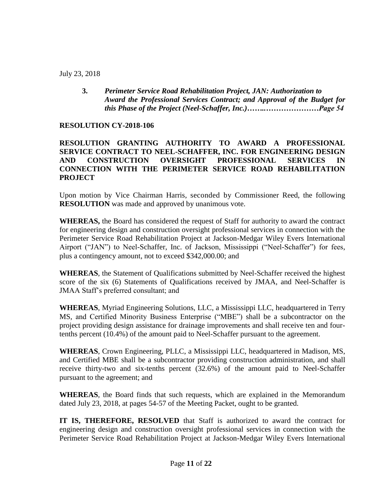July 23, 2018

**3.** *Perimeter Service Road Rehabilitation Project, JAN: Authorization to Award the Professional Services Contract; and Approval of the Budget for this Phase of the Project (Neel-Schaffer, Inc.)……..…………………Page 54*

# **RESOLUTION CY-2018-106**

# **RESOLUTION GRANTING AUTHORITY TO AWARD A PROFESSIONAL SERVICE CONTRACT TO NEEL-SCHAFFER, INC. FOR ENGINEERING DESIGN AND CONSTRUCTION OVERSIGHT PROFESSIONAL SERVICES IN CONNECTION WITH THE PERIMETER SERVICE ROAD REHABILITATION PROJECT**

Upon motion by Vice Chairman Harris, seconded by Commissioner Reed, the following **RESOLUTION** was made and approved by unanimous vote.

**WHEREAS,** the Board has considered the request of Staff for authority to award the contract for engineering design and construction oversight professional services in connection with the Perimeter Service Road Rehabilitation Project at Jackson-Medgar Wiley Evers International Airport ("JAN") to Neel-Schaffer, Inc. of Jackson, Mississippi ("Neel-Schaffer") for fees, plus a contingency amount, not to exceed \$342,000.00; and

**WHEREAS**, the Statement of Qualifications submitted by Neel-Schaffer received the highest score of the six (6) Statements of Qualifications received by JMAA, and Neel-Schaffer is JMAA Staff's preferred consultant; and

**WHEREAS**, Myriad Engineering Solutions, LLC, a Mississippi LLC, headquartered in Terry MS, and Certified Minority Business Enterprise ("MBE") shall be a subcontractor on the project providing design assistance for drainage improvements and shall receive ten and fourtenths percent (10.4%) of the amount paid to Neel-Schaffer pursuant to the agreement.

**WHEREAS**, Crown Engineering, PLLC, a Mississippi LLC, headquartered in Madison, MS, and Certified MBE shall be a subcontractor providing construction administration, and shall receive thirty-two and six-tenths percent (32.6%) of the amount paid to Neel-Schaffer pursuant to the agreement; and

**WHEREAS**, the Board finds that such requests, which are explained in the Memorandum dated July 23, 2018, at pages 54-57 of the Meeting Packet, ought to be granted.

**IT IS, THEREFORE, RESOLVED** that Staff is authorized to award the contract for engineering design and construction oversight professional services in connection with the Perimeter Service Road Rehabilitation Project at Jackson-Medgar Wiley Evers International

Page **11** of **22**

Exhibits Provided Via Public Records Request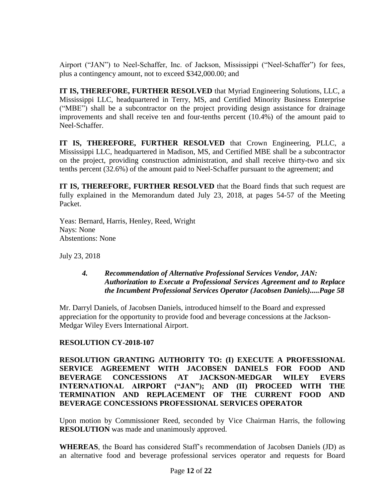Airport ("JAN") to Neel-Schaffer, Inc. of Jackson, Mississippi ("Neel-Schaffer") for fees, plus a contingency amount, not to exceed \$342,000.00; and

**IT IS, THEREFORE, FURTHER RESOLVED** that Myriad Engineering Solutions, LLC, a Mississippi LLC, headquartered in Terry, MS, and Certified Minority Business Enterprise ("MBE") shall be a subcontractor on the project providing design assistance for drainage improvements and shall receive ten and four-tenths percent (10.4%) of the amount paid to Neel-Schaffer.

**IT IS, THEREFORE, FURTHER RESOLVED** that Crown Engineering, PLLC, a Mississippi LLC, headquartered in Madison, MS, and Certified MBE shall be a subcontractor on the project, providing construction administration, and shall receive thirty-two and six tenths percent (32.6%) of the amount paid to Neel-Schaffer pursuant to the agreement; and

**IT IS, THEREFORE, FURTHER RESOLVED** that the Board finds that such request are fully explained in the Memorandum dated July 23, 2018, at pages 54-57 of the Meeting Packet.

Yeas: Bernard, Harris, Henley, Reed, Wright Nays: None Abstentions: None

July 23, 2018

### *4. Recommendation of Alternative Professional Services Vendor, JAN: Authorization to Execute a Professional Services Agreement and to Replace the Incumbent Professional Services Operator (Jacobsen Daniels).....Page 58*

Mr. Darryl Daniels, of Jacobsen Daniels, introduced himself to the Board and expressed appreciation for the opportunity to provide food and beverage concessions at the Jackson-Medgar Wiley Evers International Airport.

# **RESOLUTION CY-2018-107**

**RESOLUTION GRANTING AUTHORITY TO: (I) EXECUTE A PROFESSIONAL SERVICE AGREEMENT WITH JACOBSEN DANIELS FOR FOOD AND BEVERAGE CONCESSIONS AT JACKSON-MEDGAR WILEY EVERS INTERNATIONAL AIRPORT ("JAN"); AND (II) PROCEED WITH THE TERMINATION AND REPLACEMENT OF THE CURRENT FOOD AND BEVERAGE CONCESSIONS PROFESSIONAL SERVICES OPERATOR**

Upon motion by Commissioner Reed, seconded by Vice Chairman Harris, the following **RESOLUTION** was made and unanimously approved.

**WHEREAS**, the Board has considered Staff's recommendation of Jacobsen Daniels (JD) as an alternative food and beverage professional services operator and requests for Board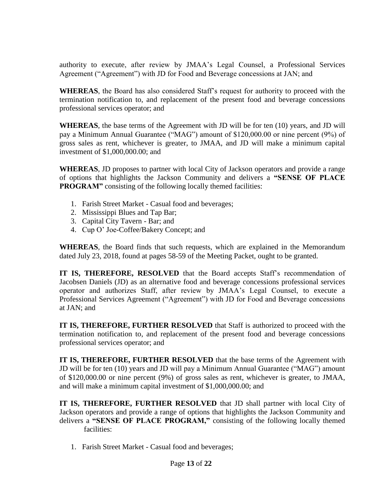authority to execute, after review by JMAA's Legal Counsel, a Professional Services Agreement ("Agreement") with JD for Food and Beverage concessions at JAN; and

**WHEREAS**, the Board has also considered Staff's request for authority to proceed with the termination notification to, and replacement of the present food and beverage concessions professional services operator; and

**WHEREAS**, the base terms of the Agreement with JD will be for ten (10) years, and JD will pay a Minimum Annual Guarantee ("MAG") amount of \$120,000.00 or nine percent (9%) of gross sales as rent, whichever is greater, to JMAA, and JD will make a minimum capital investment of \$1,000,000.00; and

**WHEREAS**, JD proposes to partner with local City of Jackson operators and provide a range of options that highlights the Jackson Community and delivers a **"SENSE OF PLACE PROGRAM"** consisting of the following locally themed facilities:

- 1. Farish Street Market Casual food and beverages;
- 2. Mississippi Blues and Tap Bar;
- 3. Capital City Tavern Bar; and
- 4. Cup O' Joe-Coffee/Bakery Concept; and

**WHEREAS**, the Board finds that such requests, which are explained in the Memorandum dated July 23, 2018, found at pages 58-59 of the Meeting Packet, ought to be granted.

**IT IS, THEREFORE, RESOLVED** that the Board accepts Staff's recommendation of Jacobsen Daniels (JD) as an alternative food and beverage concessions professional services operator and authorizes Staff, after review by JMAA's Legal Counsel, to execute a Professional Services Agreement ("Agreement") with JD for Food and Beverage concessions at JAN; and

**IT IS, THEREFORE, FURTHER RESOLVED** that Staff is authorized to proceed with the termination notification to, and replacement of the present food and beverage concessions professional services operator; and

**IT IS, THEREFORE, FURTHER RESOLVED** that the base terms of the Agreement with JD will be for ten (10) years and JD will pay a Minimum Annual Guarantee ("MAG") amount of \$120,000.00 or nine percent (9%) of gross sales as rent, whichever is greater, to JMAA, and will make a minimum capital investment of \$1,000,000.00; and

**IT IS, THEREFORE, FURTHER RESOLVED** that JD shall partner with local City of Jackson operators and provide a range of options that highlights the Jackson Community and delivers a **"SENSE OF PLACE PROGRAM,"** consisting of the following locally themed facilities:

1. Farish Street Market - Casual food and beverages;

Page **13** of **22**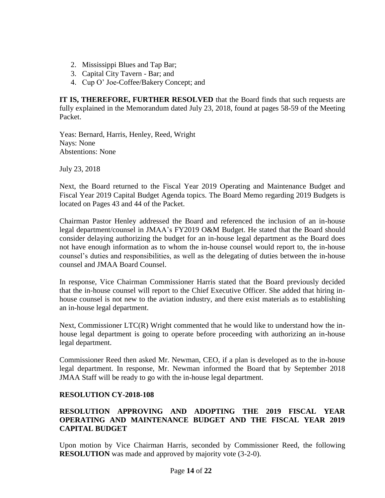- 2. Mississippi Blues and Tap Bar;
- 3. Capital City Tavern Bar; and
- 4. Cup O' Joe-Coffee/Bakery Concept; and

**IT IS, THEREFORE, FURTHER RESOLVED** that the Board finds that such requests are fully explained in the Memorandum dated July 23, 2018, found at pages 58-59 of the Meeting Packet.

Yeas: Bernard, Harris, Henley, Reed, Wright Nays: None Abstentions: None

July 23, 2018

Next, the Board returned to the Fiscal Year 2019 Operating and Maintenance Budget and Fiscal Year 2019 Capital Budget Agenda topics. The Board Memo regarding 2019 Budgets is located on Pages 43 and 44 of the Packet.

Chairman Pastor Henley addressed the Board and referenced the inclusion of an in-house legal department/counsel in JMAA's FY2019 O&M Budget. He stated that the Board should consider delaying authorizing the budget for an in-house legal department as the Board does not have enough information as to whom the in-house counsel would report to, the in-house counsel's duties and responsibilities, as well as the delegating of duties between the in-house counsel and JMAA Board Counsel.

In response, Vice Chairman Commissioner Harris stated that the Board previously decided that the in-house counsel will report to the Chief Executive Officer. She added that hiring inhouse counsel is not new to the aviation industry, and there exist materials as to establishing an in-house legal department.

Next, Commissioner LTC(R) Wright commented that he would like to understand how the inhouse legal department is going to operate before proceeding with authorizing an in-house legal department.

Commissioner Reed then asked Mr. Newman, CEO, if a plan is developed as to the in-house legal department. In response, Mr. Newman informed the Board that by September 2018 JMAA Staff will be ready to go with the in-house legal department.

#### **RESOLUTION CY-2018-108**

# **RESOLUTION APPROVING AND ADOPTING THE 2019 FISCAL YEAR OPERATING AND MAINTENANCE BUDGET AND THE FISCAL YEAR 2019 CAPITAL BUDGET**

Upon motion by Vice Chairman Harris, seconded by Commissioner Reed, the following **RESOLUTION** was made and approved by majority vote (3-2-0).

> Page **14** of **22** Exhibits Provided Via Public Records Request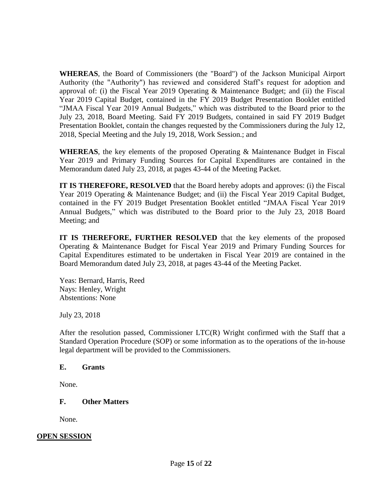**WHEREAS**, the Board of Commissioners (the "Board") of the Jackson Municipal Airport Authority (the "Authority") has reviewed and considered Staff's request for adoption and approval of: (i) the Fiscal Year 2019 Operating & Maintenance Budget; and (ii) the Fiscal Year 2019 Capital Budget, contained in the FY 2019 Budget Presentation Booklet entitled "JMAA Fiscal Year 2019 Annual Budgets," which was distributed to the Board prior to the July 23, 2018, Board Meeting. Said FY 2019 Budgets, contained in said FY 2019 Budget Presentation Booklet, contain the changes requested by the Commissioners during the July 12, 2018, Special Meeting and the July 19, 2018, Work Session.; and

**WHEREAS**, the key elements of the proposed Operating & Maintenance Budget in Fiscal Year 2019 and Primary Funding Sources for Capital Expenditures are contained in the Memorandum dated July 23, 2018, at pages 43-44 of the Meeting Packet.

**IT IS THEREFORE, RESOLVED** that the Board hereby adopts and approves: (i) the Fiscal Year 2019 Operating & Maintenance Budget; and (ii) the Fiscal Year 2019 Capital Budget, contained in the FY 2019 Budget Presentation Booklet entitled "JMAA Fiscal Year 2019 Annual Budgets," which was distributed to the Board prior to the July 23, 2018 Board Meeting; and

**IT IS THEREFORE, FURTHER RESOLVED** that the key elements of the proposed Operating & Maintenance Budget for Fiscal Year 2019 and Primary Funding Sources for Capital Expenditures estimated to be undertaken in Fiscal Year 2019 are contained in the Board Memorandum dated July 23, 2018, at pages 43-44 of the Meeting Packet.

Yeas: Bernard, Harris, Reed Nays: Henley, Wright Abstentions: None

July 23, 2018

After the resolution passed, Commissioner LTC(R) Wright confirmed with the Staff that a Standard Operation Procedure (SOP) or some information as to the operations of the in-house legal department will be provided to the Commissioners.

#### **E. Grants**

None.

#### **F. Other Matters**

None.

#### **OPEN SESSION**

Page **15** of **22**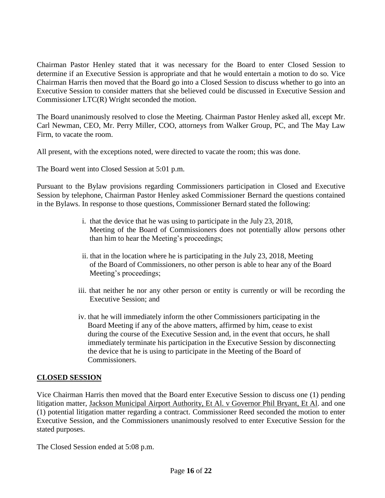Chairman Pastor Henley stated that it was necessary for the Board to enter Closed Session to determine if an Executive Session is appropriate and that he would entertain a motion to do so. Vice Chairman Harris then moved that the Board go into a Closed Session to discuss whether to go into an Executive Session to consider matters that she believed could be discussed in Executive Session and Commissioner LTC(R) Wright seconded the motion.

The Board unanimously resolved to close the Meeting. Chairman Pastor Henley asked all, except Mr. Carl Newman, CEO, Mr. Perry Miller, COO, attorneys from Walker Group, PC, and The May Law Firm, to vacate the room.

All present, with the exceptions noted, were directed to vacate the room; this was done.

The Board went into Closed Session at 5:01 p.m.

Pursuant to the Bylaw provisions regarding Commissioners participation in Closed and Executive Session by telephone, Chairman Pastor Henley asked Commissioner Bernard the questions contained in the Bylaws. In response to those questions, Commissioner Bernard stated the following:

- i. that the device that he was using to participate in the July 23, 2018, Meeting of the Board of Commissioners does not potentially allow persons other than him to hear the Meeting's proceedings;
- ii. that in the location where he is participating in the July 23, 2018, Meeting of the Board of Commissioners, no other person is able to hear any of the Board Meeting's proceedings;
- iii. that neither he nor any other person or entity is currently or will be recording the Executive Session; and
- iv. that he will immediately inform the other Commissioners participating in the Board Meeting if any of the above matters, affirmed by him, cease to exist during the course of the Executive Session and, in the event that occurs, he shall immediately terminate his participation in the Executive Session by disconnecting the device that he is using to participate in the Meeting of the Board of Commissioners.

# **CLOSED SESSION**

Vice Chairman Harris then moved that the Board enter Executive Session to discuss one (1) pending litigation matter, Jackson Municipal Airport Authority, Et Al. v Governor Phil Bryant, Et Al. and one (1) potential litigation matter regarding a contract. Commissioner Reed seconded the motion to enter Executive Session, and the Commissioners unanimously resolved to enter Executive Session for the stated purposes.

The Closed Session ended at 5:08 p.m.

Page **16** of **22** Exhibits Provided Via Public Records Request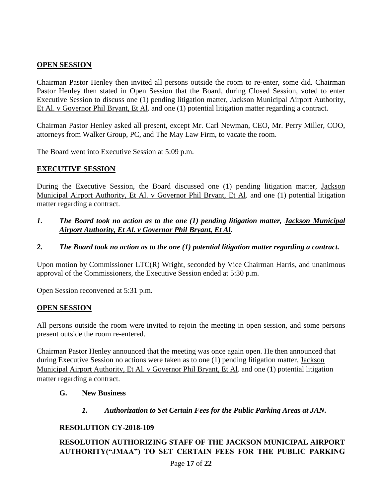# **OPEN SESSION**

Chairman Pastor Henley then invited all persons outside the room to re-enter, some did. Chairman Pastor Henley then stated in Open Session that the Board, during Closed Session, voted to enter Executive Session to discuss one (1) pending litigation matter, Jackson Municipal Airport Authority, Et Al. v Governor Phil Bryant, Et Al. and one (1) potential litigation matter regarding a contract.

Chairman Pastor Henley asked all present, except Mr. Carl Newman, CEO, Mr. Perry Miller, COO, attorneys from Walker Group, PC, and The May Law Firm, to vacate the room.

The Board went into Executive Session at 5:09 p.m.

# **EXECUTIVE SESSION**

During the Executive Session, the Board discussed one (1) pending litigation matter, Jackson Municipal Airport Authority, Et Al. v Governor Phil Bryant, Et Al. and one (1) potential litigation matter regarding a contract.

- *1. The Board took no action as to the one (1) pending litigation matter, Jackson Municipal Airport Authority, Et Al. v Governor Phil Bryant, Et Al.*
- *2. The Board took no action as to the one (1) potential litigation matter regarding a contract.*

Upon motion by Commissioner LTC(R) Wright, seconded by Vice Chairman Harris, and unanimous approval of the Commissioners, the Executive Session ended at 5:30 p.m.

Open Session reconvened at 5:31 p.m.

# **OPEN SESSION**

All persons outside the room were invited to rejoin the meeting in open session, and some persons present outside the room re-entered.

Chairman Pastor Henley announced that the meeting was once again open. He then announced that during Executive Session no actions were taken as to one (1) pending litigation matter, Jackson Municipal Airport Authority, Et Al. v Governor Phil Bryant, Et Al. and one (1) potential litigation matter regarding a contract.

# **G. New Business**

*1. Authorization to Set Certain Fees for the Public Parking Areas at JAN.*

# **RESOLUTION CY-2018-109**

# **RESOLUTION AUTHORIZING STAFF OF THE JACKSON MUNICIPAL AIRPORT AUTHORITY("JMAA") TO SET CERTAIN FEES FOR THE PUBLIC PARKING**

Page **17** of **22**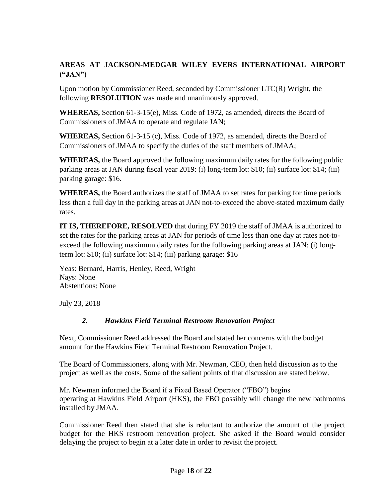# **AREAS AT JACKSON-MEDGAR WILEY EVERS INTERNATIONAL AIRPORT ("JAN")**

Upon motion by Commissioner Reed, seconded by Commissioner LTC(R) Wright, the following **RESOLUTION** was made and unanimously approved.

**WHEREAS,** Section 61-3-15(e), Miss. Code of 1972, as amended, directs the Board of Commissioners of JMAA to operate and regulate JAN;

**WHEREAS,** Section 61-3-15 (c), Miss. Code of 1972, as amended, directs the Board of Commissioners of JMAA to specify the duties of the staff members of JMAA;

**WHEREAS,** the Board approved the following maximum daily rates for the following public parking areas at JAN during fiscal year 2019: (i) long-term lot: \$10; (ii) surface lot: \$14; (iii) parking garage: \$16.

**WHEREAS,** the Board authorizes the staff of JMAA to set rates for parking for time periods less than a full day in the parking areas at JAN not-to-exceed the above-stated maximum daily rates.

**IT IS, THEREFORE, RESOLVED** that during FY 2019 the staff of JMAA is authorized to set the rates for the parking areas at JAN for periods of time less than one day at rates not-toexceed the following maximum daily rates for the following parking areas at JAN: (i) longterm lot: \$10; (ii) surface lot: \$14; (iii) parking garage: \$16

Yeas: Bernard, Harris, Henley, Reed, Wright Nays: None Abstentions: None

July 23, 2018

# *2. Hawkins Field Terminal Restroom Renovation Project*

Next, Commissioner Reed addressed the Board and stated her concerns with the budget amount for the Hawkins Field Terminal Restroom Renovation Project.

The Board of Commissioners, along with Mr. Newman, CEO, then held discussion as to the project as well as the costs. Some of the salient points of that discussion are stated below.

Mr. Newman informed the Board if a Fixed Based Operator ("FBO") begins operating at Hawkins Field Airport (HKS), the FBO possibly will change the new bathrooms installed by JMAA.

Commissioner Reed then stated that she is reluctant to authorize the amount of the project budget for the HKS restroom renovation project. She asked if the Board would consider delaying the project to begin at a later date in order to revisit the project.

> Page **18** of **22** Exhibits Provided Via Public Records Request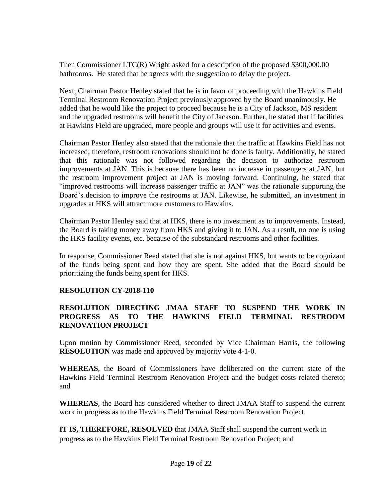Then Commissioner LTC(R) Wright asked for a description of the proposed \$300,000.00 bathrooms. He stated that he agrees with the suggestion to delay the project.

Next, Chairman Pastor Henley stated that he is in favor of proceeding with the Hawkins Field Terminal Restroom Renovation Project previously approved by the Board unanimously. He added that he would like the project to proceed because he is a City of Jackson, MS resident and the upgraded restrooms will benefit the City of Jackson. Further, he stated that if facilities at Hawkins Field are upgraded, more people and groups will use it for activities and events.

Chairman Pastor Henley also stated that the rationale that the traffic at Hawkins Field has not increased; therefore, restroom renovations should not be done is faulty. Additionally, he stated that this rationale was not followed regarding the decision to authorize restroom improvements at JAN. This is because there has been no increase in passengers at JAN, but the restroom improvement project at JAN is moving forward. Continuing, he stated that "improved restrooms will increase passenger traffic at JAN" was the rationale supporting the Board's decision to improve the restrooms at JAN. Likewise, he submitted, an investment in upgrades at HKS will attract more customers to Hawkins.

Chairman Pastor Henley said that at HKS, there is no investment as to improvements. Instead, the Board is taking money away from HKS and giving it to JAN. As a result, no one is using the HKS facility events, etc. because of the substandard restrooms and other facilities.

In response, Commissioner Reed stated that she is not against HKS, but wants to be cognizant of the funds being spent and how they are spent. She added that the Board should be prioritizing the funds being spent for HKS.

#### **RESOLUTION CY-2018-110**

# **RESOLUTION DIRECTING JMAA STAFF TO SUSPEND THE WORK IN PROGRESS AS TO THE HAWKINS FIELD TERMINAL RESTROOM RENOVATION PROJECT**

Upon motion by Commissioner Reed, seconded by Vice Chairman Harris, the following **RESOLUTION** was made and approved by majority vote 4-1-0.

**WHEREAS**, the Board of Commissioners have deliberated on the current state of the Hawkins Field Terminal Restroom Renovation Project and the budget costs related thereto; and

**WHEREAS**, the Board has considered whether to direct JMAA Staff to suspend the current work in progress as to the Hawkins Field Terminal Restroom Renovation Project.

**IT IS, THEREFORE, RESOLVED** that JMAA Staff shall suspend the current work in progress as to the Hawkins Field Terminal Restroom Renovation Project; and

Page **19** of **22**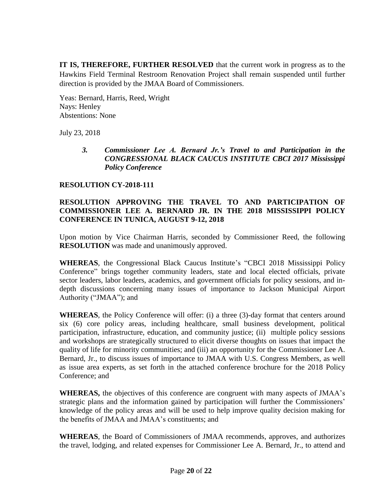**IT IS, THEREFORE, FURTHER RESOLVED** that the current work in progress as to the Hawkins Field Terminal Restroom Renovation Project shall remain suspended until further direction is provided by the JMAA Board of Commissioners.

Yeas: Bernard, Harris, Reed, Wright Nays: Henley Abstentions: None

July 23, 2018

*3. Commissioner Lee A. Bernard Jr.'s Travel to and Participation in the CONGRESSIONAL BLACK CAUCUS INSTITUTE CBCI 2017 Mississippi Policy Conference*

#### **RESOLUTION CY-2018-111**

# **RESOLUTION APPROVING THE TRAVEL TO AND PARTICIPATION OF COMMISSIONER LEE A. BERNARD JR. IN THE 2018 MISSISSIPPI POLICY CONFERENCE IN TUNICA, AUGUST 9-12, 2018**

Upon motion by Vice Chairman Harris, seconded by Commissioner Reed, the following **RESOLUTION** was made and unanimously approved.

**WHEREAS**, the Congressional Black Caucus Institute's "CBCI 2018 Mississippi Policy Conference" brings together community leaders, state and local elected officials, private sector leaders, labor leaders, academics, and government officials for policy sessions, and indepth discussions concerning many issues of importance to Jackson Municipal Airport Authority ("JMAA"); and

**WHEREAS**, the Policy Conference will offer: (i) a three (3)-day format that centers around six (6) core policy areas, including healthcare, small business development, political participation, infrastructure, education, and community justice; (ii) multiple policy sessions and workshops are strategically structured to elicit diverse thoughts on issues that impact the quality of life for minority communities; and (iii) an opportunity for the Commissioner Lee A. Bernard, Jr., to discuss issues of importance to JMAA with U.S. Congress Members, as well as issue area experts, as set forth in the attached conference brochure for the 2018 Policy Conference; and

**WHEREAS,** the objectives of this conference are congruent with many aspects of JMAA's strategic plans and the information gained by participation will further the Commissioners' knowledge of the policy areas and will be used to help improve quality decision making for the benefits of JMAA and JMAA's constituents; and

**WHEREAS**, the Board of Commissioners of JMAA recommends, approves, and authorizes the travel, lodging, and related expenses for Commissioner Lee A. Bernard, Jr., to attend and

> Page **20** of **22** Exhibits Provided Via Public Records Request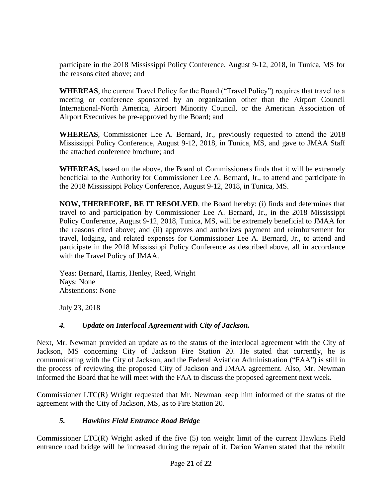participate in the 2018 Mississippi Policy Conference, August 9-12, 2018, in Tunica, MS for the reasons cited above; and

**WHEREAS**, the current Travel Policy for the Board ("Travel Policy") requires that travel to a meeting or conference sponsored by an organization other than the Airport Council International-North America, Airport Minority Council, or the American Association of Airport Executives be pre-approved by the Board; and

**WHEREAS**, Commissioner Lee A. Bernard, Jr., previously requested to attend the 2018 Mississippi Policy Conference, August 9-12, 2018, in Tunica, MS, and gave to JMAA Staff the attached conference brochure; and

**WHEREAS,** based on the above, the Board of Commissioners finds that it will be extremely beneficial to the Authority for Commissioner Lee A. Bernard, Jr., to attend and participate in the 2018 Mississippi Policy Conference, August 9-12, 2018, in Tunica, MS.

**NOW, THEREFORE, BE IT RESOLVED**, the Board hereby: (i) finds and determines that travel to and participation by Commissioner Lee A. Bernard, Jr., in the 2018 Mississippi Policy Conference, August 9-12, 2018, Tunica, MS, will be extremely beneficial to JMAA for the reasons cited above; and (ii) approves and authorizes payment and reimbursement for travel, lodging, and related expenses for Commissioner Lee A. Bernard, Jr., to attend and participate in the 2018 Mississippi Policy Conference as described above, all in accordance with the Travel Policy of JMAA.

Yeas: Bernard, Harris, Henley, Reed, Wright Nays: None Abstentions: None

July 23, 2018

# *4. Update on Interlocal Agreement with City of Jackson.*

Next, Mr. Newman provided an update as to the status of the interlocal agreement with the City of Jackson, MS concerning City of Jackson Fire Station 20. He stated that currently, he is communicating with the City of Jackson, and the Federal Aviation Administration ("FAA") is still in the process of reviewing the proposed City of Jackson and JMAA agreement. Also, Mr. Newman informed the Board that he will meet with the FAA to discuss the proposed agreement next week.

Commissioner LTC(R) Wright requested that Mr. Newman keep him informed of the status of the agreement with the City of Jackson, MS, as to Fire Station 20.

# *5. Hawkins Field Entrance Road Bridge*

Commissioner LTC(R) Wright asked if the five (5) ton weight limit of the current Hawkins Field entrance road bridge will be increased during the repair of it. Darion Warren stated that the rebuilt

Page **21** of **22**